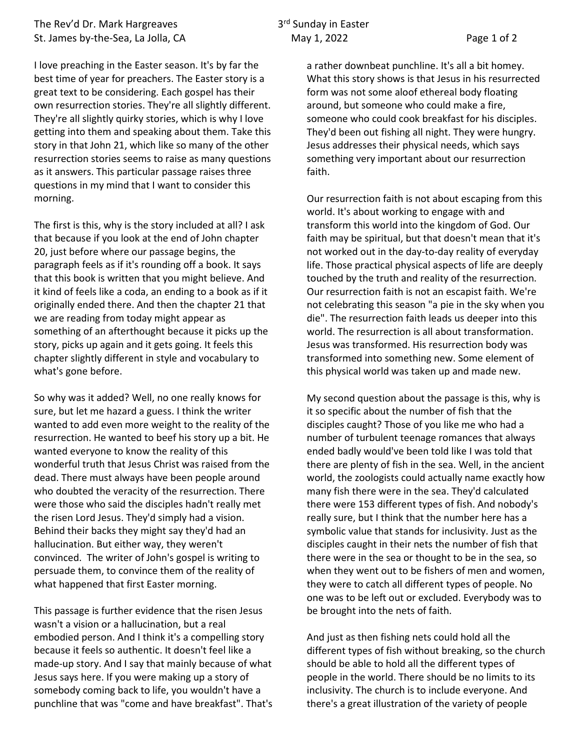## The Rev'd Dr. Mark Hargreaves 3rd Sunday in Easter St. James by-the-Sea, La Jolla, CA May 1, 2022 May 1, 2022

I love preaching in the Easter season. It's by far the best time of year for preachers. The Easter story is a great text to be considering. Each gospel has their own resurrection stories. They're all slightly different. They're all slightly quirky stories, which is why I love getting into them and speaking about them. Take this story in that John 21, which like so many of the other resurrection stories seems to raise as many questions as it answers. This particular passage raises three questions in my mind that I want to consider this morning.

The first is this, why is the story included at all? I ask that because if you look at the end of John chapter 20, just before where our passage begins, the paragraph feels as if it's rounding off a book. It says that this book is written that you might believe. And it kind of feels like a coda, an ending to a book as if it originally ended there. And then the chapter 21 that we are reading from today might appear as something of an afterthought because it picks up the story, picks up again and it gets going. It feels this chapter slightly different in style and vocabulary to what's gone before.

So why was it added? Well, no one really knows for sure, but let me hazard a guess. I think the writer wanted to add even more weight to the reality of the resurrection. He wanted to beef his story up a bit. He wanted everyone to know the reality of this wonderful truth that Jesus Christ was raised from the dead. There must always have been people around who doubted the veracity of the resurrection. There were those who said the disciples hadn't really met the risen Lord Jesus. They'd simply had a vision. Behind their backs they might say they'd had an hallucination. But either way, they weren't convinced. The writer of John's gospel is writing to persuade them, to convince them of the reality of what happened that first Easter morning.

This passage is further evidence that the risen Jesus wasn't a vision or a hallucination, but a real embodied person. And I think it's a compelling story because it feels so authentic. It doesn't feel like a made-up story. And I say that mainly because of what Jesus says here. If you were making up a story of somebody coming back to life, you wouldn't have a punchline that was "come and have breakfast". That's a rather downbeat punchline. It's all a bit homey. What this story shows is that Jesus in his resurrected form was not some aloof ethereal body floating around, but someone who could make a fire, someone who could cook breakfast for his disciples. They'd been out fishing all night. They were hungry. Jesus addresses their physical needs, which says something very important about our resurrection faith.

Our resurrection faith is not about escaping from this world. It's about working to engage with and transform this world into the kingdom of God. Our faith may be spiritual, but that doesn't mean that it's not worked out in the day-to-day reality of everyday life. Those practical physical aspects of life are deeply touched by the truth and reality of the resurrection. Our resurrection faith is not an escapist faith. We're not celebrating this season "a pie in the sky when you die". The resurrection faith leads us deeper into this world. The resurrection is all about transformation. Jesus was transformed. His resurrection body was transformed into something new. Some element of this physical world was taken up and made new.

My second question about the passage is this, why is it so specific about the number of fish that the disciples caught? Those of you like me who had a number of turbulent teenage romances that always ended badly would've been told like I was told that there are plenty of fish in the sea. Well, in the ancient world, the zoologists could actually name exactly how many fish there were in the sea. They'd calculated there were 153 different types of fish. And nobody's really sure, but I think that the number here has a symbolic value that stands for inclusivity. Just as the disciples caught in their nets the number of fish that there were in the sea or thought to be in the sea, so when they went out to be fishers of men and women, they were to catch all different types of people. No one was to be left out or excluded. Everybody was to be brought into the nets of faith.

And just as then fishing nets could hold all the different types of fish without breaking, so the church should be able to hold all the different types of people in the world. There should be no limits to its inclusivity. The church is to include everyone. And there's a great illustration of the variety of people